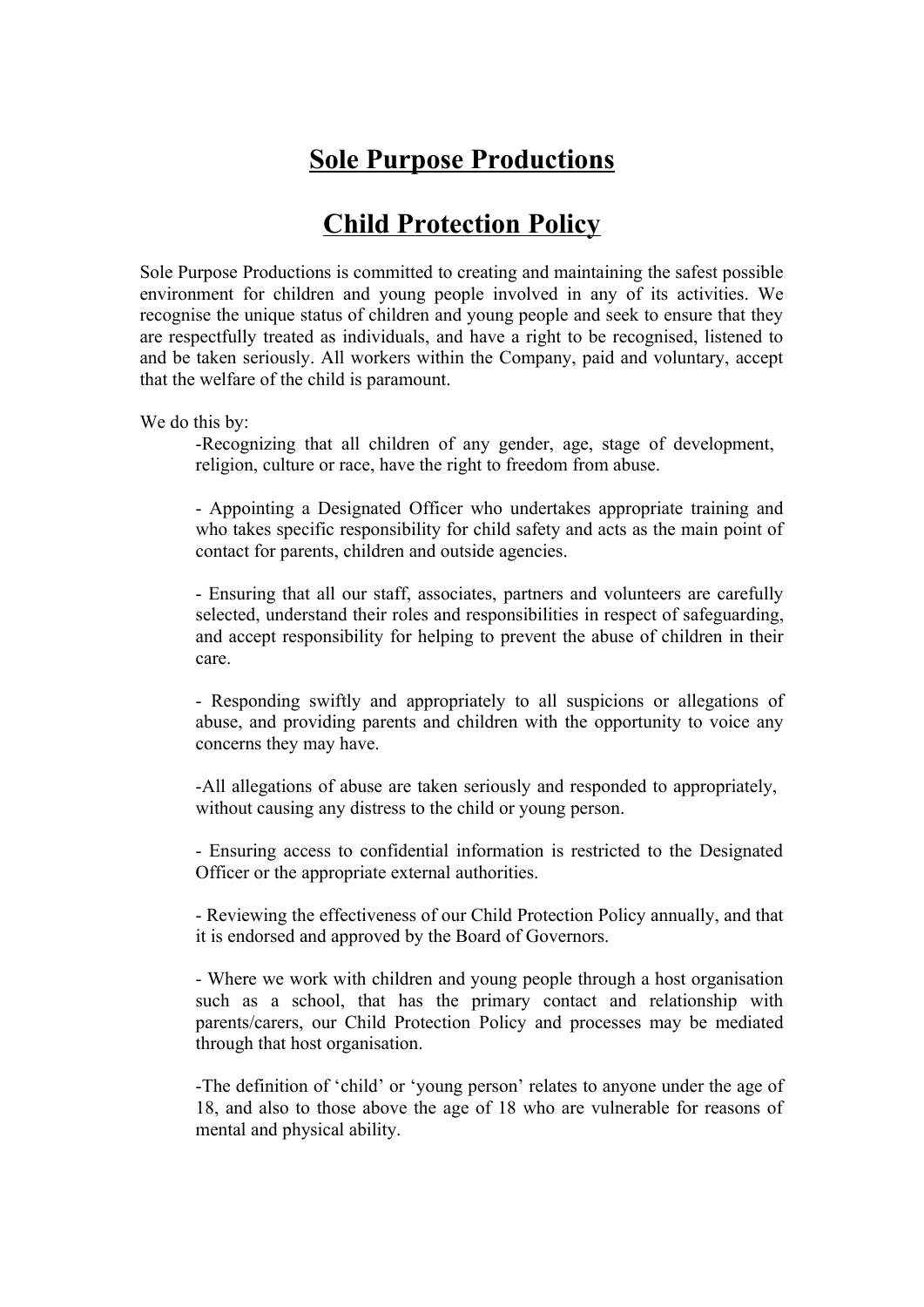## **Sole Purpose Productions**

## **Child Protection Policy**

Sole Purpose Productions is committed to creating and maintaining the safest possible environment for children and young people involved in any of its activities. We recognise the unique status of children and young people and seek to ensure that they are respectfully treated as individuals, and have a right to be recognised, listened to and be taken seriously. All workers within the Company, paid and voluntary, accept that the welfare of the child is paramount.

We do this by:

-Recognizing that all children of any gender, age, stage of development, religion, culture or race, have the right to freedom from abuse.

- Appointing a Designated Officer who undertakes appropriate training and who takes specific responsibility for child safety and acts as the main point of contact for parents, children and outside agencies.

- Ensuring that all our staff, associates, partners and volunteers are carefully selected, understand their roles and responsibilities in respect of safeguarding, and accept responsibility for helping to prevent the abuse of children in their care.

- Responding swiftly and appropriately to all suspicions or allegations of abuse, and providing parents and children with the opportunity to voice any concerns they may have.

-All allegations of abuse are taken seriously and responded to appropriately, without causing any distress to the child or young person.

- Ensuring access to confidential information is restricted to the Designated Officer or the appropriate external authorities.

- Reviewing the effectiveness of our Child Protection Policy annually, and that it is endorsed and approved by the Board of Governors.

- Where we work with children and young people through a host organisation such as a school, that has the primary contact and relationship with parents/carers, our Child Protection Policy and processes may be mediated through that host organisation.

-The definition of 'child' or 'young person' relates to anyone under the age of 18, and also to those above the age of 18 who are vulnerable for reasons of mental and physical ability.